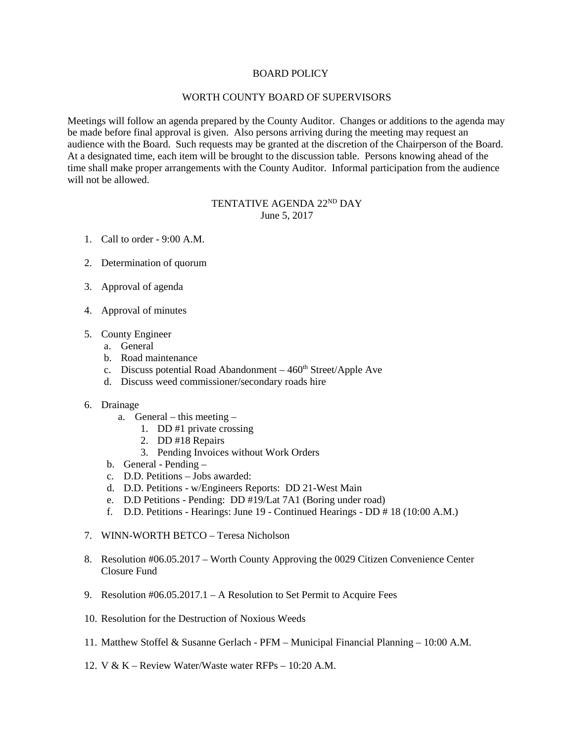## BOARD POLICY

## WORTH COUNTY BOARD OF SUPERVISORS

Meetings will follow an agenda prepared by the County Auditor. Changes or additions to the agenda may be made before final approval is given. Also persons arriving during the meeting may request an audience with the Board. Such requests may be granted at the discretion of the Chairperson of the Board. At a designated time, each item will be brought to the discussion table. Persons knowing ahead of the time shall make proper arrangements with the County Auditor. Informal participation from the audience will not be allowed.

## TENTATIVE AGENDA 22ND DAY June 5, 2017

- 1. Call to order 9:00 A.M.
- 2. Determination of quorum
- 3. Approval of agenda
- 4. Approval of minutes
- 5. County Engineer
	- a. General
	- b. Road maintenance
	- c. Discuss potential Road Abandonment  $-460<sup>th</sup> Street/Apple$  Ave
	- d. Discuss weed commissioner/secondary roads hire
- 6. Drainage
	- a. General this meeting
		- 1. DD #1 private crossing
		- 2. DD #18 Repairs
		- 3. Pending Invoices without Work Orders
	- b. General Pending –
	- c. D.D. Petitions Jobs awarded:
	- d. D.D. Petitions w/Engineers Reports: DD 21-West Main
	- e. D.D Petitions Pending: DD #19/Lat 7A1 (Boring under road)
	- f. D.D. Petitions Hearings: June 19 Continued Hearings DD # 18 (10:00 A.M.)
- 7. WINN-WORTH BETCO Teresa Nicholson
- 8. Resolution #06.05.2017 Worth County Approving the 0029 Citizen Convenience Center Closure Fund
- 9. Resolution #06.05.2017.1 A Resolution to Set Permit to Acquire Fees
- 10. Resolution for the Destruction of Noxious Weeds
- 11. Matthew Stoffel & Susanne Gerlach PFM Municipal Financial Planning 10:00 A.M.
- 12. V & K Review Water/Waste water RFPs 10:20 A.M.